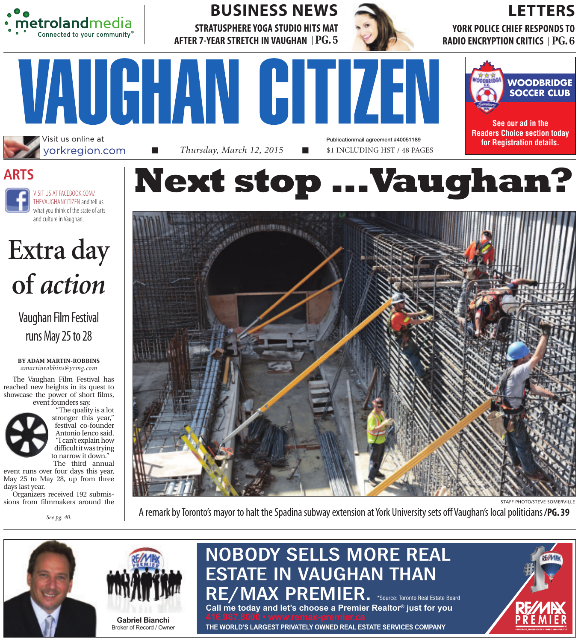

Visit us online at yorkregion.com

**STRATUSPHERE YOGA STUDIO HITS MAT AFTER 7-YEAR STRETCH IN VAUGHAN PG. 5** BUSINESS NEWS

VAUGHAN GITIZEN



Publicationmail agreement #40051189

# LETTERS

**YORK POLICE CHIEF RESPONDS TO RADIO ENCRYPTION CRITICS PG. 6**



**See our ad in the Readers Choice section today for Registration details.**





**Extra day of** *action*

Vaughan Film Festival runs May 25 to 28

**BY ADAM MARTIN-ROBBINS** *amartinrobbins@yrmg.com*

The Vaughan Film Festival has reached new heights in its quest to showcase the power of short films, event founders say.



stronger this year," festival co-founder Antonio Ienco said. "I can't explain how difficult it was trying to narrow it down." The third annual

event runs over four days this year, May 25 to May 28, up from three days last year.

Organizers received 192 submissions from filmmakers around the

*See pg. 40.*



■ *Thursday, March 12, 2015* ■ \$1 INCLUDING HST / 48 PAGES



A remark by Toronto's mayor to halt the Spadina subway extension at York University sets off Vaughan's local politicians**/PG. 39**





Broker of Record / Owner

# NOBODY SELLS MORE REAL ESTATE IN VAUGHAN THAN RE/MAX PREMIER. \*Source: Toronto Real Estate Board

Call me today and let's choose a Premier Realtor® just for you<br>416.987.8000 • www.remax-premier.ca<br>THE WORLD'S LARGEST PRIVATELY OWNED REAL ESTATE SERVICES COMPANY